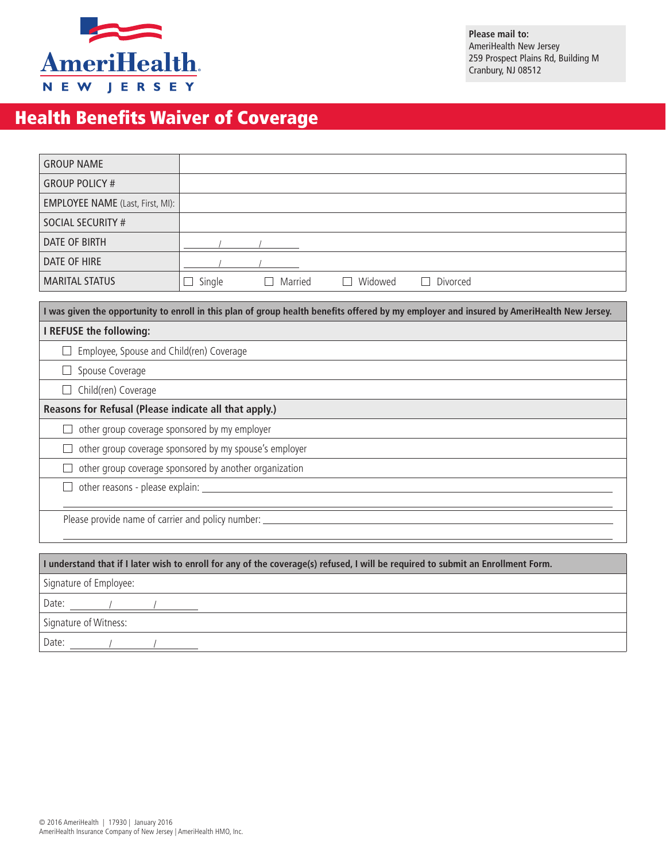

**Please mail to:** AmeriHealth New Jersey 259 Prospect Plains Rd, Building M Cranbury, NJ 08512

## Health Benefits Waiver of Coverage

| <b>GROUP NAME</b>                                                                                                                         |        |         |         |          |  |  |
|-------------------------------------------------------------------------------------------------------------------------------------------|--------|---------|---------|----------|--|--|
| <b>GROUP POLICY #</b>                                                                                                                     |        |         |         |          |  |  |
| <b>EMPLOYEE NAME</b> (Last, First, MI):                                                                                                   |        |         |         |          |  |  |
| <b>SOCIAL SECURITY #</b>                                                                                                                  |        |         |         |          |  |  |
| <b>DATE OF BIRTH</b>                                                                                                                      |        |         |         |          |  |  |
| DATE OF HIRE                                                                                                                              |        |         |         |          |  |  |
| <b>MARITAL STATUS</b>                                                                                                                     | Single | Married | Widowed | Divorced |  |  |
| I was given the opportunity to enroll in this plan of group health benefits offered by my employer and insured by AmeriHealth New Jersey. |        |         |         |          |  |  |
| I REFUSE the following:                                                                                                                   |        |         |         |          |  |  |
| Employee, Spouse and Child(ren) Coverage                                                                                                  |        |         |         |          |  |  |
| Spouse Coverage                                                                                                                           |        |         |         |          |  |  |
| Child(ren) Coverage                                                                                                                       |        |         |         |          |  |  |
| Reasons for Refusal (Please indicate all that apply.)                                                                                     |        |         |         |          |  |  |
| other group coverage sponsored by my employer                                                                                             |        |         |         |          |  |  |
| other group coverage sponsored by my spouse's employer                                                                                    |        |         |         |          |  |  |
| other group coverage sponsored by another organization                                                                                    |        |         |         |          |  |  |
|                                                                                                                                           |        |         |         |          |  |  |
|                                                                                                                                           |        |         |         |          |  |  |
| I understand that if I later wish to enroll for any of the coverage(s) refused, I will be required to submit an Enrollment Form.          |        |         |         |          |  |  |

| Signature of Employee: |  |  |  |  |  |  |
|------------------------|--|--|--|--|--|--|
| Date:                  |  |  |  |  |  |  |
| Signature of Witness:  |  |  |  |  |  |  |
| Date:                  |  |  |  |  |  |  |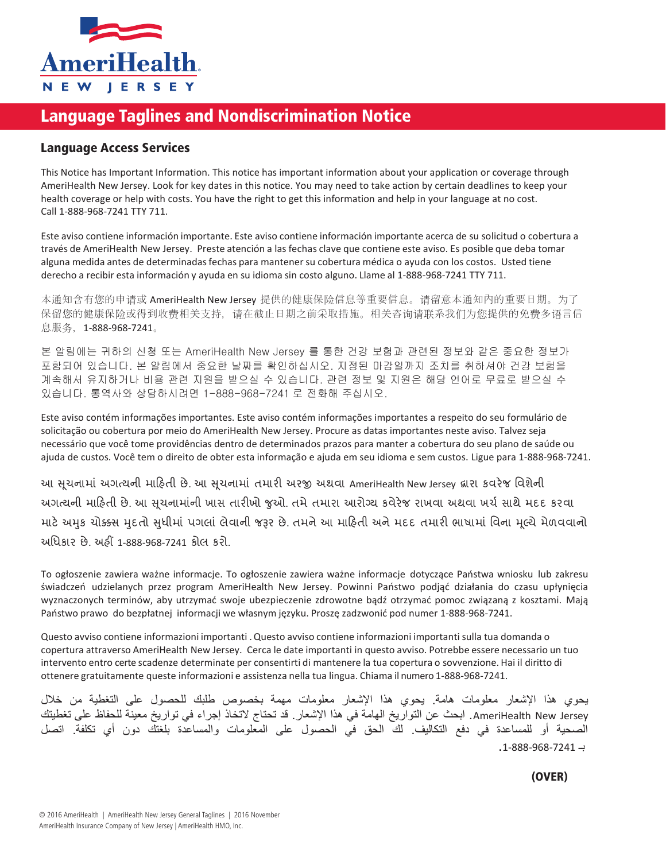

## Language Taglines and Nondiscrimination Notice

## Language Access Services

This Notice has Important Information. This notice has important information about your application or coverage through AmeriHealth New Jersey. Look for key dates in this notice. You may need to take action by certain deadlines to keep your health coverage or help with costs. You have the right to get this information and help in your language at no cost. Call 1-888-968-7241 TTY 711.

Este aviso contiene información importante. Este aviso contiene información importante acerca de su solicitud o cobertura a través de AmeriHealth New Jersey. Preste atención a las fechas clave que contiene este aviso. Es posible que deba tomar alguna medida antes de determinadasfechas para mantenersu cobertura médica o ayuda con los costos. Usted tiene derecho a recibir esta información y ayuda en su idioma sin costo alguno. Llame al 1-888-968-7241 TTY 711.

本通知含有您的申请或 AmeriHealth New Jersey 提供的健康保险信息等重要信息。请留意本通知內的重要日期。为了 保留您的健康保险或得到收费相关支持,请在截止日期之前采取措施。相关咨询请联系我们为您提供的免费多语言信 息服务,1-888-968-7241。

본 알림에는 귀하의 신청 또는 AmeriHealth New Jersey 를 통한 건강 보험과 관련된 정보와 같은 중요한 정보가 포함되어 있습니다. 본 알림에서 중요한 날짜를 확인하십시오. 지정된 마감일까지 조치를 취하셔야 건강 보험을 계속해서 유지하거나 비용 관련 지원을 받으실 수 있습니다. 관련 정보 및 지원은 해당 언어로 무료로 받으실 수 있습니다. 통역사와 상담하시려면 1-888-968-7241 로 전화해 주십시오.

Este aviso contém informações importantes. Este aviso contém informações importantes a respeito do seu formulário de solicitação ou cobertura por meio do AmeriHealth New Jersey. Procure as datas importantes neste aviso. Talvez seja necessário que você tome providências dentro de determinados prazos para manter a cobertura do seu plano de saúde ou ajuda de custos. Você tem o direito de obter esta informação e ajuda em seu idioma e sem custos. Ligue para 1-888-968-7241.

આ સૂચનામાં અગત્યની માહિતી છે. આ સૂચનામાં તમારી અરજી અથવા AmeriHealth New Jersey દ્વારા કવરેજ વિશેની અગત્યની માહિતી છે. આ સુચનામાંની ખાસ તારીખો જુઓ. તમે તમારા આરોગ્ય કવેરેજ રાખવા અથવા ખર્ચ સાથે મદદ કરવા માટે અમુક ચોક્ક્સ મુદતો સુધીમાં પગલાં લેવાની જરૂર છે. તમને આ માહિતી અને મદદ તમારી ભાષામાં વિના મૂલ્યે મેળવવાનો અધિકાર છે. અહીં 1-888-968-7241 કોલ કરો.

To ogłoszenie zawiera ważne informacje. To ogłoszenie zawiera ważne informacje dotyczące Państwa wniosku lub zakresu świadczeń udzielanych przez program AmeriHealth New Jersey. Powinni Państwo podjąć działania do czasu upłynięcia wyznaczonych terminów, aby utrzymać swoje ubezpieczenie zdrowotne bądź otrzymać pomoc związaną z kosztami. Mają Państwo prawo do bezpłatnej informacji we własnym języku. Proszę zadzwonić pod numer 1-888-968-7241.

Questo avviso contiene informazioni importanti . Questo avviso contiene informazioni importanti sulla tua domanda o copertura attraverso AmeriHealth New Jersey. Cerca le date importanti in questo avviso. Potrebbe essere necessario un tuo intervento entro certe scadenze determinate per consentirti di mantenere la tua copertura o sovvenzione. Hai il diritto di ottenere gratuitamente queste informazioni e assistenza nella tua lingua. Chiama il numero 1-888-968-7241.

يحوي هذا اإلشعار معلومات هامة. يحوي هذا اإلشعار معلومات مهمة بخصوص طلبك للحصول على التغطية من خالل AmeriHealth New Jersey. ابحث عن التواريخ الهامة في هذا الإشعار. قد تحتاج لاتخاذ إجراء في تواريخ معينة للحفاظ على تغطيتك الصحية أو للمساعدة في دفع التكاليف. لك الحق في الحصول على المعلومات والمساعدة بلغتك دون أي تكلفة. اتصل  $-1-888-968-7241 \rightarrow$ 

 $A = \frac{1}{2}$  is a may Mahalagang Importasyon. Ang paunawang ito ay may mahalagang ito ay mahalagang impormasyon tungkol sa mahalagang inpormasyon tungkol sa mahalagang impormasyon tungkol sa mahalagang impormasyon tungkol iyong aplikasyon o saklaw sa pamamagitan ng AmeriHealth New Jersey. Tingnan ang mahahalagang petsa sa paunawang ito. (OVER)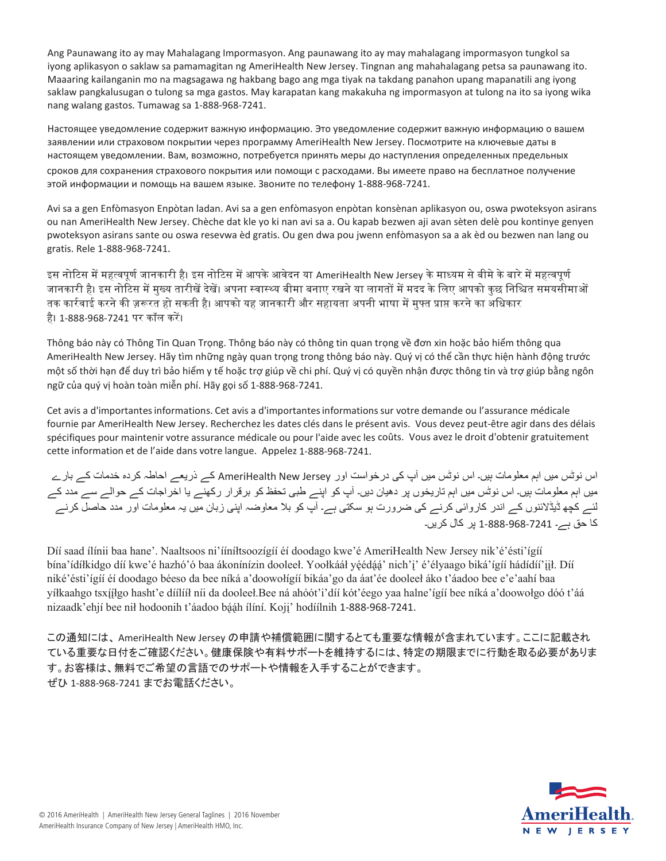Ang Paunawang ito ay may Mahalagang Impormasyon. Ang paunawang ito ay may mahalagang impormasyon tungkol sa iyong aplikasyon o saklaw sa pamamagitan ng AmeriHealth New Jersey. Tingnan ang mahahalagang petsa sa paunawang ito. Maaaring kailanganin mo na magsagawa ng hakbang bago ang mga tiyak na takdang panahon upang mapanatili ang iyong saklaw pangkalusugan o tulong sa mga gastos. May karapatan kang makakuha ng impormasyon at tulong na ito sa iyong wika nang walang gastos. Tumawag sa 1-888-968-7241.

Language Bacces Tananage L 000 000 Настоящее уведомление содержит важную информацию. Это уведомление содержит важную информацию о вашем заявлении или страховом покрытии через программу AmeriHealth New Jersey. Посмотрите на ключевые даты в настоящем уведомлении. Вам, возможно, потребуется принять меры до наступления определенных предельных

сроков для сохранения страхового покрытия или помощи с расходами. Вы имеете право на бесплатное получение этой информации и помощь на вашем языке. Звоните по телефону 1-888-968-7241.

Avi sa a gen Enfòmasyon Enpòtan ladan. Avi sa a gen enfòmasyon enpòtan konsènan aplikasyon ou, oswa pwoteksyon asirans ou nan AmeriHealth New Jersey. Chèche dat kle yo ki nan avi sa a. Ou kapab bezwen aji avan sèten delè pou kontinye genyen pwoteksyon asirans sante ou oswa resevwa èd gratis. Ou gen dwa pou jwenn enfòmasyon sa a ak èd ou bezwen nan lang ou gratis. Rele 1-888-968-7241.

इस नोटिस में महत्वपूर्ण जानकारी है। इस नोटिस में आपके आवेदन या AmeriHealth New Jersey के माध्यम से बीमे के बारे में महत्वपूर्ण जानकारी है। इस नोटिस में मुख्य तारीखें देखें। अपना स्वास्थ्य बीमा बनाए रखने या लागतों में मदद के लिए आपको कुछ निश्चित समयसीमाओं तक कार्रवाई करने की ज़रूरत हो सकती है। आपको यह जानकारी और सहायता अपनी भाषा में मुफ्त प्राप्त करने का अधिकार है। 1-888-968-7241 पर कॉल करें।

Thông báo này có Thông Tin Quan Trọng. Thông báo này có thông tin quan trọng về đơn xin hoặc bảo hiểm thông qua AmeriHealth New Jersey. Hãy tìm những ngày quan trọng trong thông báo này. Quý vị có thể cần thực hiện hành động trước một số thời hạn để duy trì bảo hiểm y tế hoặc trợ giúp về chi phí. Quý vị có quyền nhận được thông tin và trợ giúp bằng ngôn ngữ của quý vị hoàn toàn miễn phí. Hãy gọi số 1-888-968-7241.

Cet avis a d'importantesinformations. Cet avis a d'importantesinformationssur votre demande ou l'assurance médicale fournie par AmeriHealth New Jersey. Recherchez les dates clés dans le présent avis. Vous devez peut-être agir dans des délais spécifiques pour maintenir votre assurance médicale ou pour l'aide avec les coûts. Vous avez le droit d'obtenir gratuitement cette information et de l'aide dans votre langue. Appelez 1-888-968-7241.

اس نوٹس ميں اہم معلومات ہيں۔ اس نوٹس ميں آپ کی درخواست اور Jersey New AmeriHealth کے ذريعے احاطہ کردہ خدمات کے بارے ميں اہم معلومات ہيں۔ اس نوٹس ميں اہم تاريخوں پر دهيان ديں۔ آپ کو اپنے طبی تحفظ کو برقرار رکهنے يا اخراجات کے حوالے سے مدد کے لئے کچه ڈيڈالئنوں کے اندر کاروائی کرنے کی ضرورت ہو سکتی ہے۔ آپ کو بال معاوضہ اپنی زبان ميں يہ معلومات اور مدد حاصل کرنے کا حق ہے۔ 1-888-968-7241 پر کال کريں۔

Díí saad ílínii baa hane'. Naaltsoos ni'íníltsoozígíí éi doodago kwe'é AmeriHealth New Jersey nik'é'ésti'ígíí bína'ídíłkidgo díí kwe'é hazhó'ó baa ákonínízin dooleel. Yoołkááł yéédáá' nich'i' é'élyaago biká'ígíí hádídíi'jił. Díí niké'ésti'ígíí éí doodago béeso da bee níká a'doowolígíí bikáa'go da áat'ée dooleel áko t'áadoo bee e'e'aahí baa yíłkaahgo tsxííłgo hasht'e díílííł níi da dooleeł.Bee ná ahóót'i'díí kót'éego yaa halne'ígíí bee níká a'doowołgo dóó t'áá nizaadk'ehjí bee nil hodoonih t'áadoo bááh ílíní. Koji' hodíílnih 1-888-968-7241.

この通知には、 AmeriHealth New Jersey の申請や補償範囲に関するとても重要な情報が含まれています。ここに記載され ている重要な日付をご確認ください。健康保険や有料サポートを維持するには、特定の期限までに行動を取る必要がありま す。お客様は、無料でご希望の言語でのサポートや情報を入手することができます。 ぜひ 1-888-968-7241 までお電話ください。